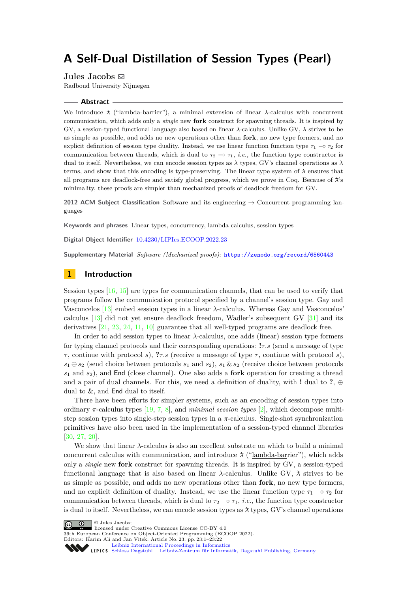# **A Self-Dual Distillation of Session Types (Pearl)**

**Jules Jacobs** [!](mailto:mail@julesjacobs.com)

Radboud University Nijmegen

#### **Abstract**

We introduce ¯*λ* ("lambda-barrier"), a minimal extension of linear *λ*-calculus with concurrent communication, which adds only a *single* new **fork** construct for spawning threads. It is inspired by GV, a session-typed functional language also based on linear *λ*-calculus. Unlike GV, λ strives to be as simple as possible, and adds no new operations other than **fork**, no new type formers, and no explicit definition of session type duality. Instead, we use linear function function type  $\tau_1 \sim \tau_2$  for communication between threads, which is dual to  $\tau_2 \sim \tau_1$ , *i.e.*, the function type constructor is dual to itself. Nevertheless, we can encode session types as  $\lambda$  types, GV's channel operations as  $\lambda$ terms, and show that this encoding is type-preserving. The linear type system of  $\lambda$  ensures that all programs are deadlock-free and satisfy global progress, which we prove in Coq. Because of  $\lambda$ 's minimality, these proofs are simpler than mechanized proofs of deadlock freedom for GV.

**2012 ACM Subject Classification** Software and its engineering → Concurrent programming languages

**Keywords and phrases** Linear types, concurrency, lambda calculus, session types

**Digital Object Identifier** [10.4230/LIPIcs.ECOOP.2022.23](https://doi.org/10.4230/LIPIcs.ECOOP.2022.23)

**Supplementary Material** *Software (Mechanized proofs)*: <https://zenodo.org/record/6560443>

# **1 Introduction**

Session types  $[16, 15]$  $[16, 15]$  $[16, 15]$  are types for communication channels, that can be used to verify that programs follow the communication protocol specified by a channel's session type. Gay and Vasconcelos [\[13\]](#page-20-2) embed session types in a linear *λ*-calculus. Whereas Gay and Vasconcelos' calculus [\[13\]](#page-20-2) did not yet ensure deadlock freedom, Wadler's subsequent GV [\[31\]](#page-21-0) and its derivatives [\[21,](#page-21-1) [23,](#page-21-2) [24,](#page-21-3) [11,](#page-20-3) [10\]](#page-20-4) guarantee that all well-typed programs are deadlock free.

In order to add session types to linear *λ*-calculus, one adds (linear) session type formers for typing channel protocols and their corresponding operations: **!***τ.s* (send a message of type *τ* , continue with protocol *s*), **?***τ.s* (receive a message of type *τ* , continue with protocol *s*),  $s_1 \oplus s_2$  (send choice between protocols  $s_1$  and  $s_2$ ),  $s_1 \& s_2$  (receive choice between protocols *s*<sup>1</sup> and *s*2), and End (close channel). One also adds a **fork** operation for creating a thread and a pair of dual channels. For this, we need a definition of duality, with **!** dual to **?**, ⊕ dual to &, and End dual to itself.

There have been efforts for simpler systems, such as an encoding of session types into ordinary *π*-calculus types [\[19,](#page-20-5) [7,](#page-20-6) [8\]](#page-20-7), and *minimal session types* [\[2\]](#page-20-8), which decompose multistep session types into single-step session types in a *π*-calculus. Single-shot synchronization primitives have also been used in the implementation of a session-typed channel libraries [\[30,](#page-21-4) [27,](#page-21-5) [20\]](#page-20-9).

We show that linear *λ*-calculus is also an excellent substrate on which to build a minimal concurrent calculus with communication, and introduce  $\lambda$  ("lambda-barrier"), which adds only a *single* new **fork** construct for spawning threads. It is inspired by GV, a session-typed functional language that is also based on linear  $\lambda$ -calculus. Unlike GV,  $\lambda$  strives to be as simple as possible, and adds no new operations other than **fork**, no new type formers, and no explicit definition of duality. Instead, we use the linear function type  $\tau_1 \sim \tau_2$  for communication between threads, which is dual to  $\tau_2 \sim \tau_1$ , *i.e.*, the function type constructor is dual to itself. Nevertheless, we can encode session types as  $\lambda$  types, GV's channel operations

© Jules Jacobs;  $\boxed{6}$  0



36th European Conference on Object-Oriented Programming (ECOOP 2022). Editors: Karim Ali and Jan Vitek; Article No. 23; pp. 23:1–23:22

[Schloss Dagstuhl – Leibniz-Zentrum für Informatik, Dagstuhl Publishing, Germany](https://www.dagstuhl.de)

[Leibniz International Proceedings in Informatics](https://www.dagstuhl.de/lipics/)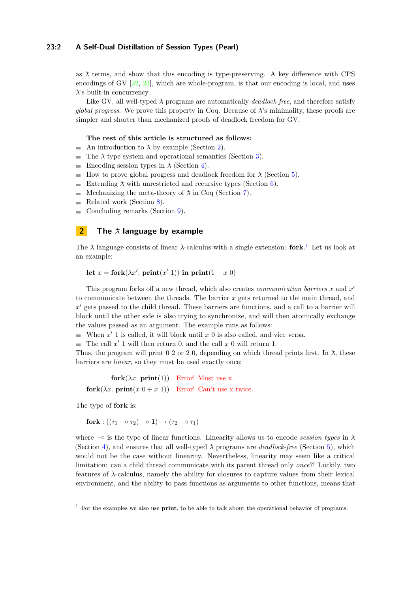# **23:2 A Self-Dual Distillation of Session Types (Pearl)**

as  $\lambda$  terms, and show that this encoding is type-preserving. A key difference with CPS encodings of GV [\[22,](#page-21-6) [23\]](#page-21-2), which are whole-program, is that our encoding is local, and uses ¯*λ*'s built-in concurrency.

Like GV, all well-typed  $\lambda$  programs are automatically *deadlock free*, and therefore satisfy *global progress.* We prove this property in Coq. Because of  $\lambda$ 's minimality, these proofs are simpler and shorter than mechanized proofs of deadlock freedom for GV.

### **The rest of this article is structured as follows:**

- An introduction to  $\lambda$  by example (Section [2\)](#page-1-0).
- $\blacksquare$  The  $\lambda$  type system and operational semantics (Section [3\)](#page-4-0).
- Encoding session types in  $\lambda$  (Section [4\)](#page-7-0).
- How to prove global progress and deadlock freedom for  $\lambda$  (Section [5\)](#page-11-0). m.
- Extending  $\lambda$  with unrestricted and recursive types (Section [6\)](#page-16-0).  $\rightarrow$
- Mechanizing the meta-theory of  $\lambda$  in Coq (Section [7\)](#page-17-0).
- Related work (Section [8\)](#page-18-0).  $\overline{a}$
- $\overline{a}$ Concluding remarks (Section [9\)](#page-19-0).

# <span id="page-1-0"></span>**2 The**  $\lambda$  **language** by example

The  $\lambda$  language consists of linear  $\lambda$ -calculus with a single extension: **fork**.<sup>[1](#page-1-1)</sup> Let us look at an example:

```
let x = fork(\lambda x'. print(x' 1)) in print(1 + x 0)
```
This program forks off a new thread, which also creates *communication barriers x* and *x* 0 to communicate between the threads. The barrier *x* gets returned to the main thread, and x<sup>'</sup> gets passed to the child thread. These barriers are functions, and a call to a barrier will block until the other side is also trying to synchronize, and will then atomically exchange the values passed as an argument. The example runs as follows:

When  $x'$  1 is called, it will block until  $x$  0 is also called, and vice versa.

The call  $x'$  1 will then return 0, and the call  $x$  0 will return 1.

Thus, the program will print 0 2 or 2 0, depending on which thread prints first. In  $\lambda$ , these barriers are *linear*, so they must be used exactly once:

**fork** $(\lambda x. \text{print}(1))$  Error! Must use x. **fork** $(\lambda x. \text{print}(x 0 + x 1))$  Error! Can't use x twice.

The type of **fork** is:

**fork** :  $((\tau_1 \sim \tau_2) \sim 1) \rightarrow (\tau_2 \sim \tau_1)$ 

where  $\sim$  is the type of linear functions. Linearity allows us to encode *session types* in  $\lambda$ (Section [4\)](#page-7-0), and ensures that all well-typed  $\lambda$  programs are *deadlock-free* (Section [5\)](#page-11-0), which would not be the case without linearity. Nevertheless, linearity may seem like a critical limitation: can a child thread communicate with its parent thread only *once*?! Luckily, two features of *λ*-calculus, namely the ability for closures to capture values from their lexical environment, and the ability to pass functions as arguments to other functions, means that

<span id="page-1-1"></span><sup>1</sup> For the examples we also use **print**, to be able to talk about the operational behavior of programs.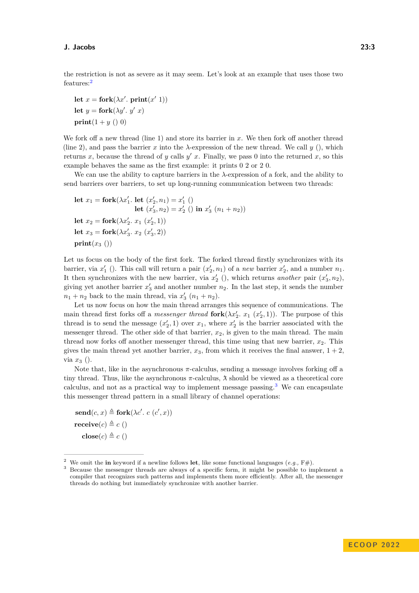the restriction is not as severe as it may seem. Let's look at an example that uses those two features:[2](#page-2-0)

let 
$$
x =
$$
 fork( $\lambda x'$ . print( $x'$  1))  
let  $y =$  fork( $\lambda y'$ .  $y'$  x)  
print(1 + y ( ) 0)

We fork off a new thread (line 1) and store its barrier in x. We then fork off another thread (line 2), and pass the barrier *x* into the  $\lambda$ -expression of the new thread. We call *y* (), which returns *x*, because the thread of *y* calls  $y'$  *x*. Finally, we pass 0 into the returned *x*, so this example behaves the same as the first example: it prints 0 2 or 2 0.

We can use the ability to capture barriers in the *λ*-expression of a fork, and the ability to send barriers over barriers, to set up long-running communication between two threads:

let 
$$
x_1 =
$$
 fork( $\lambda x'_1$ . let  $(x'_2, n_1) = x'_1$  ()  
let  $(x'_3, n_2) = x'_2$  () in  $x'_3$  ( $n_1 + n_2$ ))  
let  $x_2 =$  fork( $\lambda x'_2$ .  $x_1$  ( $x'_2$ , 1))  
let  $x_3 =$  fork( $\lambda x'_3$ .  $x_2$  ( $x'_3$ , 2))  
print( $x_3$ ())

Let us focus on the body of the first fork. The forked thread firstly synchronizes with its barrier, via  $x'_1$  (). This call will return a pair  $(x'_2, n_1)$  of a *new* barrier  $x'_2$ , and a number  $n_1$ . It then synchronizes with the new barrier, via  $x'_{2}$  (), which returns *another* pair  $(x'_{3}, n_{2})$ , giving yet another barrier  $x_3'$  and another number  $n_2$ . In the last step, it sends the number  $n_1 + n_2$  back to the main thread, via  $x_3'$   $(n_1 + n_2)$ .

Let us now focus on how the main thread arranges this sequence of communications. The main thread first forks off a *messenger thread* **fork** $(\lambda x_2', x_1(x_2', 1))$ . The purpose of this thread is to send the message  $(x'_2, 1)$  over  $x_1$ , where  $x'_2$  is the barrier associated with the messenger thread. The other side of that barrier,  $x_2$ , is given to the main thread. The main thread now forks off another messenger thread, this time using that new barrier,  $x_2$ . This gives the main thread yet another barrier,  $x_3$ , from which it receives the final answer,  $1 + 2$ . via *x*<sup>3</sup> ().

Note that, like in the asynchronous  $\pi$ -calculus, sending a message involves forking off a tiny thread. Thus, like the asynchronous  $\pi$ -calculus,  $\lambda$  should be viewed as a theoretical core calculus, and not as a practical way to implement message passing.<sup>[3](#page-2-1)</sup> We can encapsulate this messenger thread pattern in a small library of channel operations:

 $\mathbf{send}(c, x) \triangleq \mathbf{fork}(\lambda c'. c(c', x))$  $\textbf{receive}(c) \triangleq c$  ()  $\mathbf{close}(c) \triangleq c$  ()

<span id="page-2-0"></span><sup>&</sup>lt;sup>2</sup> We omit the **in** keyword if a newline follows **let**, like some functional languages  $(e.g., F#)$ .

<span id="page-2-1"></span><sup>&</sup>lt;sup>3</sup> Because the messenger threads are always of a specific form, it might be possible to implement a compiler that recognizes such patterns and implements them more efficiently. After all, the messenger threads do nothing but immediately synchronize with another barrier.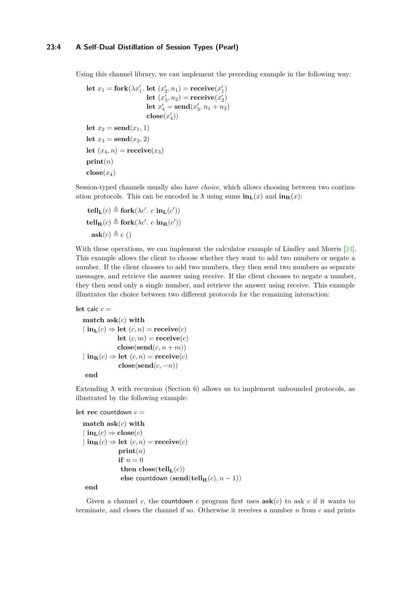Using this channel library, we can implement the preceding example in the following way:

```
let x_1 = fork(\lambda x'_1). let (x'_2, n_1) = receive(x'_1)let (x'_3, n_2) = receive(x'_2)let x'_4 = \text{send}(x'_3, n_1 + n_2)\mathbf{close}(x'_4))let x_2 = \text{send}(x_1, 1)let x_3 = \text{send}(x_2, 2)let (x_4, n) =receive(x_3)\textbf{print}(n)\mathbf{close}(x_4)
```
Session-typed channels usually also have *choice*, which allows choosing between two continuation protocols. This can be encoded in  $\lambda$  using sums  $\text{in}_{\text{L}}(x)$  and  $\text{in}_{\text{R}}(x)$ :

$$
\begin{aligned} \mathbf{t}\mathbf{ell}_{\mathbf{L}}(c) &\triangleq \mathbf{fork}(\lambda c'.\ c\ \mathbf{in}_{\mathbf{L}}(c'))\\ \mathbf{t}\mathbf{ell}_{\mathbf{R}}(c) &\triangleq \mathbf{fork}(\lambda c'.\ c\ \mathbf{in}_{\mathbf{R}}(c'))\\ \mathbf{ask}(c) &\triangleq c \end{aligned}
$$

With these operations, we can implement the calculator example of Lindley and Morris [\[24\]](#page-21-3). This example allows the client to choose whether they want to add two numbers or negate a number. If the client chooses to add two numbers, they then send two numbers as separate messages, and retrieve the answer using receive. If the client chooses to negate a number, they then send only a single number, and retrieve the answer using receive. This example illustrates the choice between two different protocols for the remaining interaction:

### **let** calc  $c =$

**match ask**(*c*) **with**  $\ln L(c) \Rightarrow \text{let}(c, n) = \text{receive}(c)$ **let**  $(c, m)$  = **receive** $(c)$  $\mathbf{close}(\mathbf{send}(c, n+m))$  $\ln \mathbf{R}(c) \Rightarrow \text{let}(c, n) = \text{receive}(c)$  $\mathbf{close}(\mathbf{send}(c, -n))$ **end**

Extending  $\lambda$  with recursion (Section [6\)](#page-16-0) allows us to implement unbounded protocols, as illustrated by the following example:

#### **let rec** countdown *c* =

```
match ask(c) with
|\mathbf{in}_{\mathbf{L}}(c) \Rightarrow \mathbf{close}(c)\ln \ln(c) \Rightarrow \text{let}(c, n) = \text{receive}(c)print(n)
                 if n = 0then close(tellL(c))
                  else countdown (\text{send}(\text{tell}_{\textbf{R}}(c), n-1))
```
**end**

Given a channel *c*, the countdown *c* program first uses  $\textbf{ask}(c)$  to ask *c* if it wants to terminate, and closes the channel if so. Otherwise it receives a number *n* from *c* and prints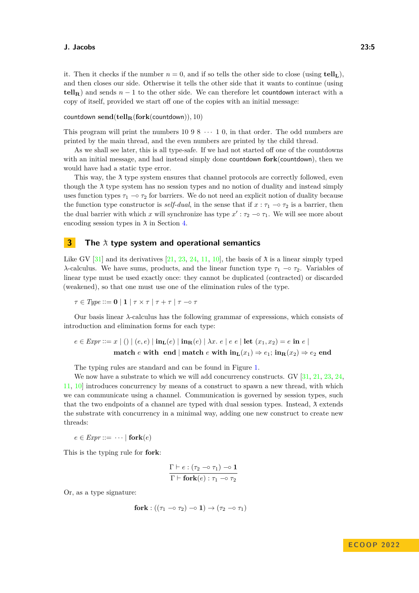it. Then it checks if the number  $n = 0$ , and if so tells the other side to close (using **tellL**), and then closes our side. Otherwise it tells the other side that it wants to continue (using **tell<sub>R</sub>**) and sends  $n-1$  to the other side. We can therefore let countdown interact with a copy of itself, provided we start off one of the copies with an initial message:

$$
\text{countdown}\ \textbf{send}(\textbf{tell}_{\mathbf{R}}(\textbf{fork}(\text{countdown})),10)
$$

This program will print the numbers  $10\,9\,8\,\cdots\,1\,0$ , in that order. The odd numbers are printed by the main thread, and the even numbers are printed by the child thread.

As we shall see later, this is all type-safe. If we had not started off one of the countdowns with an initial message, and had instead simply done countdown **fork**(countdown), then we would have had a static type error.

This way, the  $\lambda$  type system ensures that channel protocols are correctly followed, even though the  $\lambda$  type system has no session types and no notion of duality and instead simply uses function types  $\tau_1 \sim \tau_2$  for barriers. We do not need an explicit notion of duality because the function type constructor is *self-dual*, in the sense that if  $x : \tau_1 \text{ -} \circ \tau_2$  is a barrier, then the dual barrier with which *x* will synchronize has type  $x' : \tau_2 \to \tau_1$ . We will see more about encoding session types in  $\lambda$  in Section [4.](#page-7-0)

# <span id="page-4-0"></span>**3 The**  $\lambda$  **type system and operational semantics**

Like GV [\[31\]](#page-21-0) and its derivatives [\[21,](#page-21-1) [23,](#page-21-2) [24,](#page-21-3) [11,](#page-20-3) [10\]](#page-20-4), the basis of  $\lambda$  is a linear simply typed *λ*-calculus. We have sums, products, and the linear function type  $\tau_1$  –◦  $\tau_2$ . Variables of linear type must be used exactly once: they cannot be duplicated (contracted) or discarded (weakened), so that one must use one of the elimination rules of the type.

$$
\tau \in Type ::= \mathbf{0} \mid \mathbf{1} \mid \tau \times \tau \mid \tau + \tau \mid \tau - \circ \tau
$$

Our basis linear *λ*-calculus has the following grammar of expressions, which consists of introduction and elimination forms for each type:

$$
e \in \text{Expr} ::= x \mid () \mid (e, e) \mid \text{in}_{\mathbf{L}}(e) \mid \text{in}_{\mathbf{R}}(e) \mid \lambda x. \ e \mid e \ e \mid \text{let} \ (x_1, x_2) = e \text{ in } e \mid
$$
  
match  $e \text{ with } \text{ end} \mid \text{match } e \text{ with } \text{in}_{\mathbf{L}}(x_1) \Rightarrow e_1; \text{ in}_{\mathbf{R}}(x_2) \Rightarrow e_2 \text{ end}$ 

The typing rules are standard and can be found in Figure [1.](#page-5-0)

We now have a substrate to which we will add concurrency constructs. GV [\[31,](#page-21-0) [21,](#page-21-1) [23,](#page-21-2) [24,](#page-21-3) [11,](#page-20-3) [10\]](#page-20-4) introduces concurrency by means of a construct to spawn a new thread, with which we can communicate using a channel. Communication is governed by session types, such that the two endpoints of a channel are typed with dual session types. Instead,  $\lambda$  extends the substrate with concurrency in a minimal way, adding one new construct to create new threads:

 $e \in \text{Expr} ::= \cdots | \text{fork}(e)$ 

This is the typing rule for **fork**:

$$
\frac{\Gamma \vdash e : (\tau_2 \multimap \tau_1) \multimap \mathbf{1}}{\Gamma \vdash \mathbf{fork}(e) : \tau_1 \multimap \tau_2}
$$

Or, as a type signature:

$$
\mathbf{fork} : ((\tau_1 \multimap \tau_2) \multimap \mathbf{1}) \rightarrow (\tau_2 \multimap \tau_1)
$$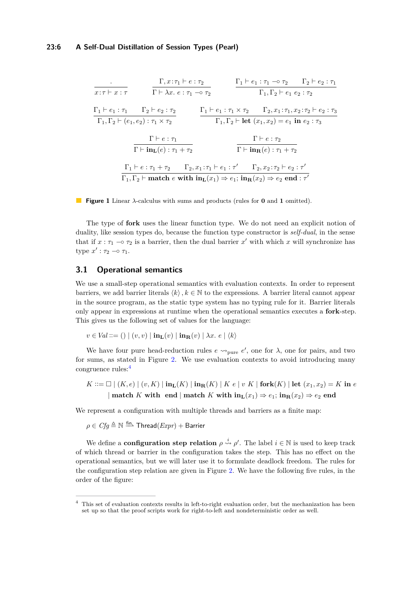<span id="page-5-0"></span>
$$
\frac{\Gamma_1 + e_1 : \tau_1}{x : \tau \vdash x : \tau} \qquad \frac{\Gamma_1 + e_1 : \tau_1 \negthinspace \sigma_2}{\Gamma \vdash \lambda x : e : \tau_1 \negthinspace \sigma_2} \qquad \frac{\Gamma_1 + e_1 : \tau_1 \negthinspace \sigma_2 \qquad \Gamma_2 + e_2 : \tau_1}{\Gamma_1, \Gamma_2 + e_1 : \tau_2 \vdash e_2 : \tau_2}
$$
\n
$$
\frac{\Gamma_1 + e_1 : \tau_1 \qquad \Gamma_2 + e_2 : \tau_2}{\Gamma_1, \Gamma_2 + (e_1, e_2) : \tau_1 \times \tau_2} \qquad \frac{\Gamma_1 + e_1 : \tau_1 \times \tau_2 \qquad \Gamma_2, x_1 : \tau_1, x_2 : \tau_2 \vdash e_2 : \tau_3}{\Gamma_1, \Gamma_2 \vdash \text{let } (x_1, x_2) = e_1 \text{ in } e_2 : \tau_3}
$$
\n
$$
\frac{\Gamma \vdash e : \tau_1}{\Gamma \vdash \text{in}_{\text{L}}(e) : \tau_1 + \tau_2} \qquad \frac{\Gamma \vdash e : \tau_2}{\Gamma \vdash \text{in}_{\text{R}}(e) : \tau_1 + \tau_2}
$$
\n
$$
\frac{\Gamma_1 \vdash e : \tau_1 + \tau_2 \qquad \Gamma_2, x_1 : \tau_1 \vdash e_1 : \tau' \qquad \Gamma_2, x_2 : \tau_2 \vdash e_2 : \tau'}{\Gamma_1, \Gamma_2 \vdash \text{match } e \text{ with } \text{in}_{\text{L}}(x_1) \Rightarrow e_1; \text{ in}_{\text{R}}(x_2) \Rightarrow e_2 \text{ end } : \tau'}
$$

**Figure 1** Linear *λ*-calculus with sums and products (rules for **0** and **1** omitted).

The type of **fork** uses the linear function type. We do not need an explicit notion of duality, like session types do, because the function type constructor is *self-dual*, in the sense that if  $x : \tau_1 \text{ -} \circ \tau_2$  is a barrier, then the dual barrier  $x'$  with which  $x$  will synchronize has type  $x': \tau_2 \multimap \tau_1$ .

# **3.1 Operational semantics**

We use a small-step operational semantics with evaluation contexts. In order to represent barriers, we add barrier literals  $\langle k \rangle, k \in \mathbb{N}$  to the expressions. A barrier literal cannot appear in the source program, as the static type system has no typing rule for it. Barrier literals only appear in expressions at runtime when the operational semantics executes a **fork**-step. This gives us the following set of values for the language:

$$
v \in Val ::= () | (v, v) | \mathbf{in}_{\mathbf{L}}(v) | \mathbf{in}_{\mathbf{R}}(v) | \lambda x. e | \langle k \rangle
$$

We have four pure head-reduction rules  $e \rightarrow_{pure} e'$ , one for  $\lambda$ , one for pairs, and two for sums, as stated in Figure [2.](#page-6-0) We use evaluation contexts to avoid introducing many congruence rules:[4](#page-5-1)

 $K ::= \Box | (K, e) | (v, K) | \mathbf{in}_{\mathbf{L}}(K) | \mathbf{in}_{\mathbf{R}}(K) | K e | v K |$  fork $(K) | \mathbf{let} (x_1, x_2) = K$  in *e* | **match** *K* with end | **match** *K* with  $\text{in}_{\text{L}}(x_1) \Rightarrow e_1$ ;  $\text{in}_{\text{R}}(x_2) \Rightarrow e_2$  end

We represent a configuration with multiple threads and barriers as a finite map:

 $\rho \in C$ f $g \triangleq \mathbb{N} \stackrel{\mathsf{fin}}{\text{--}}$  Thread $(\mathit{Expr}) + \mathsf{Barrier}$ 

We define a **configuration step relation**  $\rho \stackrel{i}{\leadsto} \rho'$ . The label  $i \in \mathbb{N}$  is used to keep track of which thread or barrier in the configuration takes the step. This has no effect on the operational semantics, but we will later use it to formulate deadlock freedom. The rules for the configuration step relation are given in Figure [2.](#page-6-0) We have the following five rules, in the order of the figure:

<span id="page-5-1"></span><sup>4</sup> This set of evaluation contexts results in left-to-right evaluation order, but the mechanization has been set up so that the proof scripts work for right-to-left and nondeterministic order as well.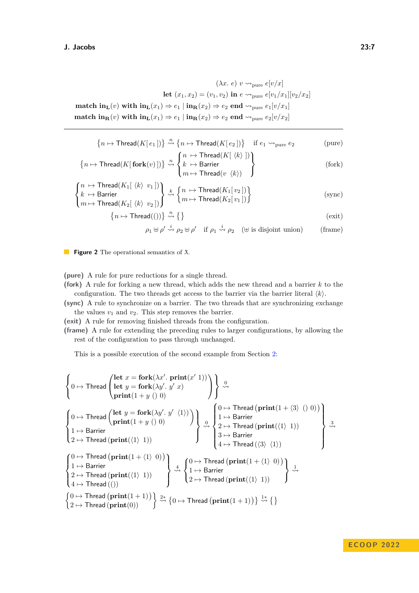<span id="page-6-0"></span> $(\lambda x. e)$   $v \rightsquigarrow_{\text{pure}} e[v/x]$ **let**  $(x_1, x_2) = (v_1, v_2)$  **in**  $e \rightarrow_{pure} e[v_1/x_1][v_2/x_2]$ **match in**<sub>**L**</sub>(*v*) with  $\text{in}_{\text{L}}(x_1) \Rightarrow e_1 | \text{in}_{\text{R}}(x_2) \Rightarrow e_2 \text{ end } \rightarrow_{\text{pure}} e_1[v/x_1]$ **match in**<sub>**R**</sub>(*v*) with  $\text{in}_{\text{L}}(x_1) \Rightarrow e_1 \mid \text{in}_{\text{R}}(x_2) \Rightarrow e_2 \text{ end } \rightarrow_{\text{pure}} e_2[v/x_2]$ 

$$
\{n \mapsto \mathsf{Thread}(K[e_1])\} \stackrel{n}{\rightsquigarrow} \{n \mapsto \mathsf{Thread}(K[e_2])\} \quad \text{if } e_1 \rightsquigarrow_{\text{pure}} e_2 \quad (\text{pure})
$$
\n
$$
\{n \mapsto \mathsf{Thread}(K[\langle k \rangle])\}
$$

$$
\left\{n \mapsto \mathsf{Thread}(K[\mathbf{fork}(v)])\right\} \stackrel{n}{\rightsquigarrow} \left\{\begin{aligned}\n n &\mapsto \mathsf{Thread}(K[\ \langle k \rangle \ ]) \\
 k &\mapsto \mathsf{Barrier} \\
 m &\mapsto \mathsf{Thread}(v \ \langle k \rangle)\n \end{aligned}\n \right\}
$$
\n(fork)

$$
\begin{cases}\nn \mapsto \text{Thread}(K_1[\langle k \rangle \ v_1]) \\
k \mapsto \text{Barrier} \\
m \mapsto \text{Thread}(K_2[\langle k \rangle \ v_2])\n\end{cases}\n\overset{k}{\leadsto}\n\begin{cases}\nn \mapsto \text{Thread}(K_1[v_2]) \\
m \mapsto \text{Thread}(K_2[v_1])\n\end{cases}\n\tag{sync}
$$

$$
\{n \mapsto \mathsf{Thread}(())\} \stackrel{n}{\rightsquigarrow} \{\}
$$
 (exit)

$$
\rho_1 \uplus \rho' \stackrel{i}{\leadsto} \rho_2 \uplus \rho' \quad \text{if } \rho_1 \stackrel{i}{\leadsto} \rho_2 \quad (\uplus \text{ is disjoint union}) \tag{frame}
$$

**Figure 2** The operational semantics of  $\lambda$ .

**(pure)** A rule for pure reductions for a single thread.

**(fork)** A rule for forking a new thread, which adds the new thread and a barrier *k* to the configuration. The two threads get access to the barrier via the barrier literal  $\langle k \rangle$ .

**(sync)** A rule to synchronize on a barrier. The two threads that are synchronizing exchange the values  $v_1$  and  $v_2$ . This step removes the barrier.

**(exit)** A rule for removing finished threads from the configuration.

**(frame)** A rule for extending the preceding rules to larger configurations, by allowing the rest of the configuration to pass through unchanged.

This is a possible execution of the second example from Section [2:](#page-1-0)

$$
\left\{ 0 \mapsto \text{Thread} \begin{pmatrix} \text{let } x = \text{fork}(\lambda x'. \text{ print}(x' 1)) \\ \text{let } y = \text{fork}(\lambda y'. y' x) \\ \text{print}(1 + y () 0) \end{pmatrix} \right\} \stackrel{0}{\rightsquigarrow}
$$
\n
$$
\left\{ 0 \mapsto \text{Thread} \begin{pmatrix} \text{let } y = \text{fork}(\lambda y'. y' x) \\ \text{print}(1 + y () 0) \end{pmatrix} \right\} \stackrel{0}{\rightsquigarrow} \left\{ 1 \mapsto \text{Barrier} \begin{pmatrix} 0 \mapsto \text{Thread} \left( \text{print}(1 + \langle 3 \rangle \langle 0 \rangle 0) \right) \\ 1 \mapsto \text{Barrier} \\ 2 \mapsto \text{Thread} \left( \text{print}(\langle 1 \rangle 1) \right) \end{pmatrix} \right\} \stackrel{0}{\rightsquigarrow} \left\{ 1 \mapsto \text{Barrier} \begin{pmatrix} 0 \mapsto \text{Thread} \left( \text{print}(\langle 1 \rangle 1) \right) \\ 3 \mapsto \text{Barrier} \\ 4 \mapsto \text{Thread} \left( \langle 3 \rangle \langle 1 \rangle \right) \end{pmatrix} \right\} \stackrel{3}{\rightsquigarrow} \left\{ 0 \mapsto \text{Thread} \left( \text{print}(1 + \langle 1 \rangle 0) \right) \\ 1 \mapsto \text{Barrier} \begin{pmatrix} 0 \mapsto \text{Thread} \left( \text{print}(\langle 1 \rangle 1) \right) \\ 2 \mapsto \text{Thread} \left( \text{print}(\langle 1 \rangle 1) \right) \end{pmatrix} \right\} \stackrel{4}{\rightsquigarrow} \left\{ 0 \mapsto \text{Thread} \left( \text{print}(\langle 1 \rangle 1) \right) \end{pmatrix} \right\} \stackrel{1}{\rightsquigarrow} \left\{ 0 \mapsto \text{Thread} \left( \text{print}(1 + \langle 1 \rangle 0) \right) \right\} \stackrel{1}{\rightsquigarrow} \left\{ 2 \mapsto \text{Thread} \left( \text{print}(1 + 1) \right) \right\} \stackrel{2}{\rightsquigarrow} \left\{ 0 \mapsto \text{Thread} \left( \text{print}(1 + 1) \right) \right\} \stackrel{1}{\rightsquigarrow} \left\{
$$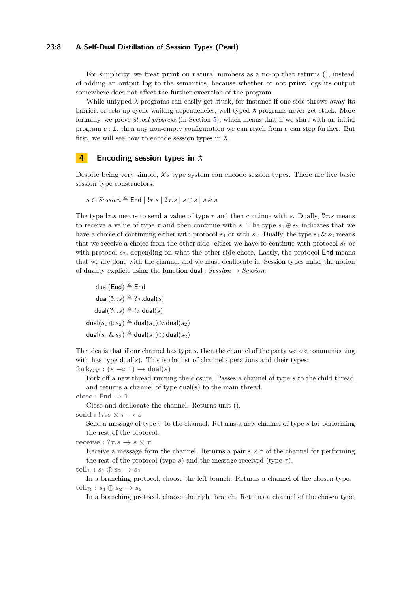## **23:8 A Self-Dual Distillation of Session Types (Pearl)**

For simplicity, we treat **print** on natural numbers as a no-op that returns (), instead of adding an output log to the semantics, because whether or not **print** logs its output somewhere does not affect the further execution of the program.

While untyped  $\lambda$  programs can easily get stuck, for instance if one side throws away its barrier, or sets up cyclic waiting dependencies, well-typed ¯*λ* programs never get stuck. More formally, we prove *global progress* (in Section [5\)](#page-11-0), which means that if we start with an initial program *e* : **1**, then any non-empty configuration we can reach from *e* can step further. But first, we will see how to encode session types in  $\lambda$ .

### <span id="page-7-0"></span>**4 Encoding session types in**  $\lambda$

Despite being very simple,  $λ$ 's type system can encode session types. There are five basic session type constructors:

$$
s \in Session \stackrel{\Delta}{=} \mathsf{End} \mid !\tau.s \mid ?\tau.s \mid s \oplus s \mid s \& s
$$

The type **!***τ.s* means to send a value of type *τ* and then continue with *s*. Dually, **?***τ.s* means to receive a value of type  $\tau$  and then continue with *s*. The type  $s_1 \oplus s_2$  indicates that we have a choice of continuing either with protocol  $s_1$  or with  $s_2$ . Dually, the type  $s_1 \& s_2$  means that we receive a choice from the other side: either we have to continue with protocol  $s<sub>1</sub>$  or with protocol  $s_2$ , depending on what the other side chose. Lastly, the protocol **End** means that we are done with the channel and we must deallocate it. Session types make the notion of duality explicit using the function dual :  $Session \rightarrow Session$ :

dual(End)  $\triangleq$  End  $dual(l\tau,s) \triangleq ?\tau.dual(s)$  $dual(?7.5) \triangleq !7. dual(s)$  $dual(s_1 \oplus s_2) \triangleq dual(s_1) \& dual(s_2)$  $dual(s_1 \& s_2) \triangleq dual(s_1) \oplus dual(s_2)$ 

The idea is that if our channel has type *s*, then the channel of the party we are communicating with has type  $dual(s)$ . This is the list of channel operations and their types:

 $fork_{GV}: (s \rightarrow o 1) \rightarrow dual(s)$ 

Fork off a new thread running the closure. Passes a channel of type *s* to the child thread, and returns a channel of type  $dual(s)$  to the main thread.

 $close:$  **End**  $\rightarrow$  1

Close and deallocate the channel. Returns unit ().

 ${\rm send}:$ **!** $\tau.s \times \tau \to s$ 

Send a message of type *τ* to the channel. Returns a new channel of type *s* for performing the rest of the protocol.

**receive :**  $? \tau . s \rightarrow s \times \tau$ 

Receive a message from the channel. Returns a pair  $s \times \tau$  of the channel for performing the rest of the protocol (type *s*) and the message received (type  $\tau$ ).

 $t \in \mathbb{R}$  **:**  $s_1 \oplus s_2 \rightarrow s_1$ 

In a branching protocol, choose the left branch. Returns a channel of the chosen type.  $t \text{ell}_R : s_1 \oplus s_2 \rightarrow s_2$ 

In a branching protocol, choose the right branch. Returns a channel of the chosen type.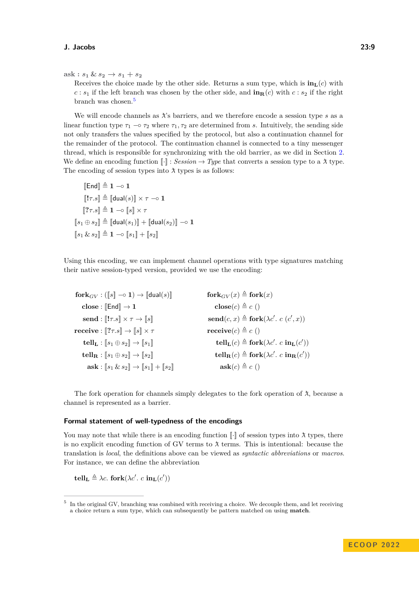$ask: s_1 & s_2 \rightarrow s_1 + s_2$ 

Receives the choice made by the other side. Returns a sum type, which is  $\mathbf{in}_{\mathbf{L}}(c)$  with *c* :  $s_1$  if the left branch was chosen by the other side, and  $\mathbf{in}_{\mathbf{R}}(c)$  with  $c$  :  $s_2$  if the right branch was chosen.[5](#page-8-0)

We will encode channels as  $\lambda$ 's barriers, and we therefore encode a session type  $s$  as a linear function type  $\tau_1 \sim \tau_2$  where  $\tau_1, \tau_2$  are determined from *s*. Intuitively, the sending side not only transfers the values specified by the protocol, but also a continuation channel for the remainder of the protocol. The continuation channel is connected to a tiny messenger thread, which is responsible for synchronizing with the old barrier, as we did in Section [2.](#page-1-0) We define an encoding function  $\llbracket \cdot \rrbracket$  : *Session*  $\rightarrow Type$  that converts a session type to a  $\lambda$  type. The encoding of session types into  $\lambda$  types is as follows:

$$
\begin{aligned}\n\llbracket \text{End} \rrbracket &\triangleq 1 \multimap 1 \\
\llbracket !\tau.s \rrbracket &\triangleq \llbracket \text{dual}(s) \rrbracket \times \tau \multimap 1 \\
\llbracket ?\tau.s \rrbracket &\triangleq 1 \multimap \llbracket s \rrbracket \times \tau \\
\llbracket s_1 \oplus s_2 \rrbracket &\triangleq \llbracket \text{dual}(s_1) \rrbracket + \llbracket \text{dual}(s_2) \rrbracket \multimap 1 \\
\llbracket s_1 \& s_2 \rrbracket &\triangleq 1 \multimap \llbracket s_1 \rrbracket + \llbracket s_2 \rrbracket\n\end{aligned}
$$

Using this encoding, we can implement channel operations with type signatures matching their native session-typed version, provided we use the encoding:

| ${\bf fork}_{GV} : (\llbracket s \rrbracket \multimap {\bf 1}) \rightarrow \llbracket {\sf dual}(s) \rrbracket$    | for $\mathbf{k}_{GV}(x) \triangleq \mathbf{fork}(x)$                                            |
|--------------------------------------------------------------------------------------------------------------------|-------------------------------------------------------------------------------------------------|
| close : $\llbracket \mathsf{End} \rrbracket \to 1$                                                                 | $\mathbf{close}(c) \triangleq c()$                                                              |
| send : $\llbracket !\tau.s \rrbracket \times \tau \to \llbracket s \rrbracket$                                     | $\mathbf{send}(c, x) \triangleq \mathbf{fork}(\lambda c', c(c', x))$                            |
| $\text{receive}: \llbracket ?\tau.s \rrbracket \to \llbracket s \rrbracket \times \tau$                            | receive $(c) \triangleq c$ ()                                                                   |
| tell <sub>L</sub> : $[s_1 \oplus s_2] \rightarrow [s_1]$                                                           | $\text{tell}_{\textbf{L}}(c) \triangleq \text{fork}(\lambda c'. c \text{ in}_{\textbf{L}}(c'))$ |
| tell <sub>R</sub> : $[s_1 \oplus s_2] \rightarrow [s_2]$                                                           | $\text{tell}_{\mathbf{R}}(c) \triangleq \text{fork}(\lambda c'. c \text{ in}_{\mathbf{R}}(c'))$ |
| $\textbf{ask}: \llbracket s_1 \& s_2 \rrbracket \rightarrow \llbracket s_1 \rrbracket + \llbracket s_2 \rrbracket$ | $ask(c) \triangleq c()$                                                                         |

The fork operation for channels simply delegates to the fork operation of  $\lambda$ , because a channel is represented as a barrier.

### **Formal statement of well-typedness of the encodings**

You may note that while there is an encoding function  $\lceil \cdot \rceil$  of session types into  $\lambda$  types, there is no explicit encoding function of GV terms to  $\lambda$  terms. This is intentional: because the translation is *local*, the definitions above can be viewed as *syntactic abbreviations* or *macros*. For instance, we can define the abbreviation

 $\mathbf{t}$ **ell**<sub>**L**</sub>  $\triangleq \lambda c$ . **fork**( $\lambda c'$ *. c* **in**<sub>**L**</sub>(*c*'))

<span id="page-8-0"></span><sup>&</sup>lt;sup>5</sup> In the original GV, branching was combined with receiving a choice. We decouple them, and let receiving a choice return a sum type, which can subsequently be pattern matched on using **match**.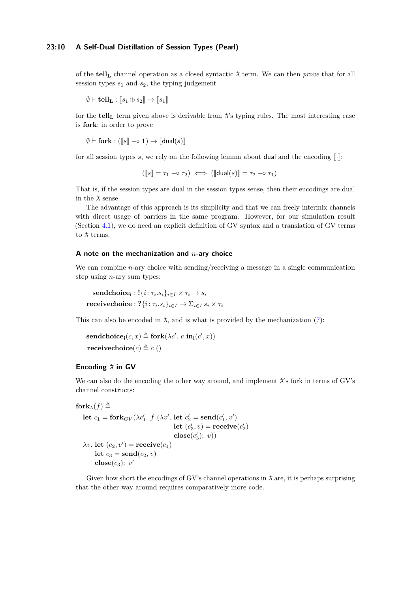### **23:10 A Self-Dual Distillation of Session Types (Pearl)**

of the **tell**<sub>L</sub> channel operation as a closed syntactic  $\lambda$  term. We can then *prove* that for all session types  $s_1$  and  $s_2$ , the typing judgement

$$
\emptyset \vdash \mathbf{tell}_\mathbf{L} : \llbracket s_1 \oplus s_2 \rrbracket \rightarrow \llbracket s_1 \rrbracket
$$

for the **tell<sub></sub>**, term given above is derivable from  $\lambda$ 's typing rules. The most interesting case is **fork**; in order to prove

 $\emptyset \vdash$  fork : ( $\llbracket s \rrbracket \multimap \mathbf{1}$ )  $\rightarrow$   $\llbracket$ dual(s) $\rrbracket$ 

for all session types  $s$ , we rely on the following lemma about dual and the encoding  $\lceil \cdot \rceil$ :

 $(\llbracket s \rrbracket = \tau_1 \multimap \tau_2) \iff (\llbracket \mathsf{dual}(s) \rrbracket = \tau_2 \multimap \tau_1)$ 

That is, if the session types are dual in the session types sense, then their encodings are dual in the  $\lambda$  sense.

The advantage of this approach is its simplicity and that we can freely intermix channels with direct usage of barriers in the same program. However, for our simulation result (Section [4.1\)](#page-10-0), we do need an explicit definition of GV syntax and a translation of GV terms to  $\lambda$  terms.

#### **A note on the mechanization and** *n***-ary choice**

We can combine *n*-ary choice with sending/receiving a message in a single communication step using *n*-ary sum types:

 $\textbf{sendchoice}_{\textbf{i}}: !{\{i: \tau_{i}.s_{i}\}_{i\in I}\times \tau_{i}\rightarrow s_{i}}$  $\textbf{receivechoice}:}$   $? \{i\colon \tau_i.s_i\}_{i\in I} \rightarrow \Sigma_{i\in I}\, s_i\times \tau_i$ 

This can also be encoded in  $\lambda$ , and is what is provided by the mechanization [\(7\)](#page-17-0):

 $\mathbf{sendchoice_i}(c, x) \triangleq \mathbf{fork}(\lambda c'. c \mathbf{in_i}(c', x))$ **receivechoice** $(c) \triangleq c$  ()

### **Encoding**  $\lambda$  **in GV**

We can also do the encoding the other way around, and implement  $\lambda$ 's fork in terms of GV's channel constructs:

```
for\mathbf{k}_{\mathbf{\hat{r}}}(f) \triangleq
```
**let**  $c_1 = \mathbf{fork}_{GV}(\lambda c'_1, f(\lambda v', \mathbf{let } c'_2 = \mathbf{send}(c'_1, v'))$ **let**  $(c'_3, v) = \text{receive}(c'_2)$  $\mathbf{close}(c'_3); v))$  $\lambda v$ . **let**  $(c_2, v')$  = **receive** $(c_1)$ **let**  $c_3 = \textbf{send}(c_2, v)$  $\mathbf{close}(c_3); v'$ 

Given how short the encodings of GV's channel operations in  $\lambda$  are, it is perhaps surprising that the other way around requires comparatively more code.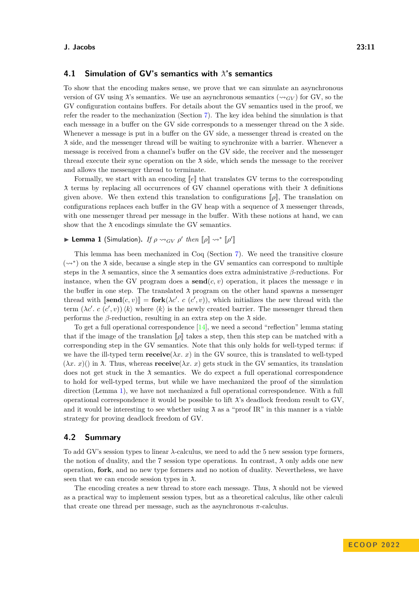# <span id="page-10-0"></span>**4.1 Simulation of GV's semantics with**  $\lambda$ **'s semantics**

To show that the encoding makes sense, we prove that we can simulate an asynchronous version of GV using  $\lambda$ 's semantics. We use an asynchronous semantics ( $\sim_{GV}$ ) for GV, so the GV configuration contains buffers. For details about the GV semantics used in the proof, we refer the reader to the mechanization (Section [7\)](#page-17-0). The key idea behind the simulation is that each message in a buffer on the GV side corresponds to a messenger thread on the  $\lambda$  side. Whenever a message is put in a buffer on the GV side, a messenger thread is created on the ¯*λ* side, and the messenger thread will be waiting to synchronize with a barrier. Whenever a message is received from a channel's buffer on the GV side, the receiver and the messenger thread execute their sync operation on the  $\lambda$  side, which sends the message to the receiver and allows the messenger thread to terminate.

Formally, we start with an encoding  $\llbracket e \rrbracket$  that translates GV terms to the corresponding  $\lambda$  terms by replacing all occurrences of GV channel operations with their  $\lambda$  definitions given above. We then extend this translation to configurations [[*ρ*]], The translation on configurations replaces each buffer in the GV heap with a sequence of  $\lambda$  messenger threads, with one messenger thread per message in the buffer. With these notions at hand, we can show that the  $\lambda$  encodings simulate the GV semantics.

# <span id="page-10-1"></span>**Example 1** (Simulation). *If*  $\rho \rightsquigarrow_{GV} \rho'$  then  $[\![\rho]\!] \rightsquigarrow^* [\![\rho']\!]$

This lemma has been mechanized in Coq (Section [7\)](#page-17-0). We need the transitive closure  $(\leadsto^*)$  on the  $\lambda$  side, because a single step in the GV semantics can correspond to multiple steps in the  $\lambda$  semantics, since the  $\lambda$  semantics does extra administrative  $\beta$ -reductions. For instance, when the GV program does a **send**( $c, v$ ) operation, it places the message  $v$  in the buffer in one step. The translated  $\lambda$  program on the other hand spawns a messenger thread with  $[\text{send}(c, v)] = \text{fork}(\lambda c'. c (c', v))$ , which initializes the new thread with the term  $(\lambda c'. c (c', v)) \langle k \rangle$  where  $\langle k \rangle$  is the newly created barrier. The messenger thread then performs the *β*-reduction, resulting in an extra step on the  $\lambda$  side.

To get a full operational correspondence  $[14]$ , we need a second "reflection" lemma stating that if the image of the translation  $\llbracket \rho \rrbracket$  takes a step, then this step can be matched with a corresponding step in the GV semantics. Note that this only holds for well-typed terms: if we have the ill-typed term **receive**( $\lambda x$ . x) in the GV source, this is translated to well-typed  $(\lambda x. x)$ () in  $\lambda$ . Thus, whereas **receive**( $\lambda x. x$ ) gets stuck in the GV semantics, its translation does not get stuck in the  $\lambda$  semantics. We do expect a full operational correspondence to hold for well-typed terms, but while we have mechanized the proof of the simulation direction (Lemma [1\)](#page-10-1), we have not mechanized a full operational correspondence. With a full operational correspondence it would be possible to lift  $\lambda$ 's deadlock freedom result to GV, and it would be interesting to see whether using  $\lambda$  as a "proof IR" in this manner is a viable strategy for proving deadlock freedom of GV.

# **4.2 Summary**

To add GV's session types to linear *λ*-calculus, we need to add the 5 new session type formers, the notion of duality, and the 7 session type operations. In contrast,  $\lambda$  only adds one new operation, **fork**, and no new type formers and no notion of duality. Nevertheless, we have seen that we can encode session types in  $\lambda$ .

The encoding creates a new thread to store each message. Thus,  $\lambda$  should not be viewed as a practical way to implement session types, but as a theoretical calculus, like other calculi that create one thread per message, such as the asynchronous  $\pi$ -calculus.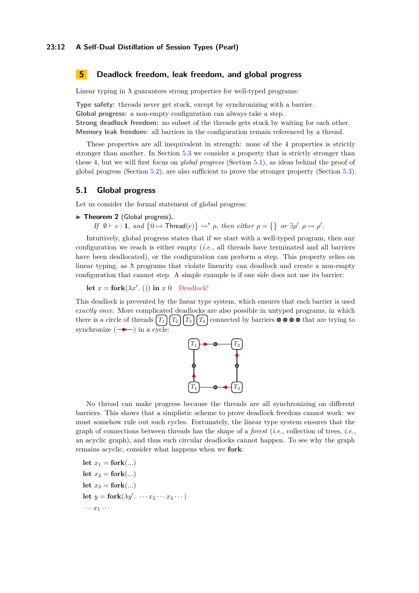### **23:12 A Self-Dual Distillation of Session Types (Pearl)**

# <span id="page-11-0"></span>**5 Deadlock freedom, leak freedom, and global progress**

Linear typing in  $\lambda$  guarantees strong properties for well-typed programs:

**Type safety:** threads never get stuck, except by synchronizing with a barrier. **Global progress:** a non-empty configuration can always take a step. **Strong deadlock freedom:** no subset of the threads gets stuck by waiting for each other. **Memory leak freedom:** all barriers in the configuration remain referenced by a thread.

These properties are all inequivalent in strength: none of the 4 properties is strictly stronger than another. In Section [5.3](#page-14-0) we consider a property that is strictly stronger than these 4, but we will first focus on *global progress* (Section [5.1\)](#page-11-1), as ideas behind the proof of global progress (Section [5.2\)](#page-13-0), are also sufficient to prove the stronger property (Section [5.3\)](#page-14-0).

# <span id="page-11-1"></span>**5.1 Global progress**

Let us consider the formal statement of global progress:

<span id="page-11-2"></span>▶ Theorem 2 (Global progress).

*If*  $\emptyset \vdash e : \mathbf{1}$ *, and*  $\{0 \mapsto \mathsf{Thread}(e)\} \rightsquigarrow^* \rho$ *, then either*  $\rho = \{\}$  *or*  $\exists \rho'. \rho \rightsquigarrow \rho'.$ 

Intuitively, global progress states that if we start with a well-typed program, then any configuration we reach is either empty (*i.e.,* all threads have terminated and all barriers have been deallocated), or the configuration can perform a step. This property relies on linear typing, as  $\lambda$  programs that violate linearity can deadlock and create a non-empty configuration that cannot step. A simple example is if one side does not use its barrier:

**let**  $x =$  **fork**( $\lambda x'$ . ()) **in**  $x \neq 0$  Deadlock!

This deadlock is prevented by the linear type system, which ensures that each barrier is used *exactly once*. More complicated deadlocks are also possible in untyped programs, in which there is a circle of threads  $[T_1][T_2][T_3][T_4]$  connected by barriers  $\bullet \bullet \bullet \bullet \bullet$  that are trying to synchronize  $( \rightarrow )$  in a cycle:



No thread can make progress because the threads are all synchronizing on different barriers. This shows that a simplistic scheme to prove deadlock freedom cannot work: we must somehow rule out such cycles. Fortunately, the linear type system ensures that the graph of connections between threads has the shape of a *forest* (*i.e.,* collection of trees, *i.e.,* an acyclic graph), and thus such circular deadlocks cannot happen. To see why the graph remains acyclic, consider what happens when we **fork**:

let  $x_1 =$  **fork**(...) let  $x_2 =$ **fork**(...) let  $x_3 =$ **fork**(...) **let**  $y = \textbf{fork}(\lambda y'. \quad \cdots x_2 \cdots x_3 \cdots)$  $\cdots$   $x_1$   $\cdots$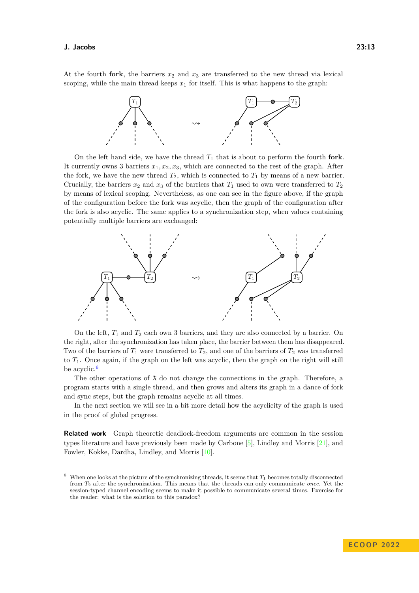At the fourth **fork**, the barriers  $x_2$  and  $x_3$  are transferred to the new thread via lexical scoping, while the main thread keeps  $x_1$  for itself. This is what happens to the graph:



On the left hand side, we have the thread *T*<sup>1</sup> that is about to perform the fourth **fork**. It currently owns 3 barriers  $x_1, x_2, x_3$ , which are connected to the rest of the graph. After the fork, we have the new thread  $T_2$ , which is connected to  $T_1$  by means of a new barrier. Crucially, the barriers  $x_2$  and  $x_3$  of the barriers that  $T_1$  used to own were transferred to  $T_2$ by means of lexical scoping. Nevertheless, as one can see in the figure above, if the graph of the configuration before the fork was acyclic, then the graph of the configuration after the fork is also acyclic. The same applies to a synchronization step, when values containing potentially multiple barriers are exchanged:



On the left, *T*<sup>1</sup> and *T*<sup>2</sup> each own 3 barriers, and they are also connected by a barrier. On the right, after the synchronization has taken place, the barrier between them has disappeared. Two of the barriers of  $T_1$  were transferred to  $T_2$ , and one of the barriers of  $T_2$  was transferred to *T*1. Once again, if the graph on the left was acyclic, then the graph on the right will still be acyclic.<sup>[6](#page-12-0)</sup>

The other operations of  $\lambda$  do not change the connections in the graph. Therefore, a program starts with a single thread, and then grows and alters its graph in a dance of fork and sync steps, but the graph remains acyclic at all times.

In the next section we will see in a bit more detail how the acyclicity of the graph is used in the proof of global progress.

**Related work** Graph theoretic deadlock-freedom arguments are common in the session types literature and have previously been made by Carbone [\[5\]](#page-20-11), Lindley and Morris [\[21\]](#page-21-1), and Fowler, Kokke, Dardha, Lindley, and Morris [\[10\]](#page-20-4).

<span id="page-12-0"></span><sup>&</sup>lt;sup>6</sup> When one looks at the picture of the synchronizing threads, it seems that  $T_1$  becomes totally disconnected from *T*<sup>2</sup> after the synchronization. This means that the threads can only communicate *once*. Yet the session-typed channel encoding seems to make it possible to communicate several times. Exercise for the reader: what is the solution to this paradox?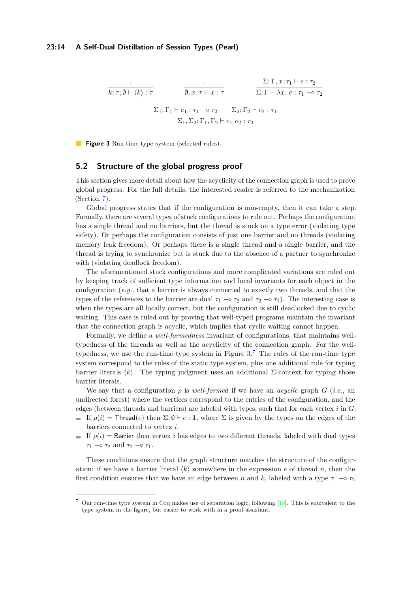<span id="page-13-1"></span>
$$
\frac{\Sigma; \Gamma, x:\tau_1 \vdash e:\tau_2}{\emptyset; x:\tau \vdash x:\tau} \qquad \frac{\Sigma; \Gamma, x:\tau_1 \vdash e:\tau_2}{\Sigma; \Gamma \vdash \lambda x.\ e:\tau_1 \multimap \tau_2}
$$
\n
$$
\frac{\Sigma_1; \Gamma_1 \vdash e_1: \tau_1 \multimap \tau_2}{\Sigma_1, \Sigma_2; \Gamma_1, \Gamma_2 \vdash e_1 \ e_2: \tau_2} \qquad \frac{\Sigma_2; \Gamma_2 \vdash e_2: \tau_1}{\Sigma_1, \Sigma_2 \vdash e_1 \ e_2: \tau_2}
$$

**Figure 3** Run-time type system (selected rules).

# <span id="page-13-0"></span>**5.2 Structure of the global progress proof**

This section gives more detail about how the acyclicity of the connection graph is used to prove global progress. For the full details, the interested reader is referred to the mechanization (Section [7\)](#page-17-0).

Global progress states that if the configuration is non-empty, then it can take a step. Formally, there are several types of stuck configurations to rule out. Perhaps the configuration has a single thread and no barriers, but the thread is stuck on a type error (violating type safety). Or perhaps the configuration consists of just one barrier and no threads (violating memory leak freedom). Or perhaps there is a single thread and a single barrier, and the thread is trying to synchronize but is stuck due to the absence of a partner to synchronize with (violating deadlock freedom).

The aforementioned stuck configurations and more complicated variations are ruled out by keeping track of sufficient type information and local invariants for each object in the configuration (*e.g.,* that a barrier is always connected to exactly two threads, and that the types of the references to the barrier are dual  $\tau_1 \sim \tau_2$  and  $\tau_2 \sim \tau_1$ ). The interesting case is when the types are all locally correct, but the configuration is still deadlocked due to cyclic waiting. This case is ruled out by proving that well-typed programs maintain the invariant that the connection graph is acyclic, which implies that cyclic waiting cannot happen.

Formally, we define a *well-formedness* invariant of configurations, that maintains welltypedness of the threads as well as the acyclicity of the connection graph. For the welltypedness, we use the run-time type system in Figure [3.](#page-13-1) [7](#page-13-2) The rules of the run-time type system correspond to the rules of the static type system, plus one additional rule for typing barrier literals  $\langle k \rangle$ . The typing judgment uses an additional Σ-context for typing those barrier literals.

We say that a configuration  $\rho$  is *well-formed* if we have an *acyclic* graph  $G$  (*i.e.*, an undirected forest) where the vertices correspond to the entries of the configuration, and the edges (between threads and barriers) are labeled with types, such that for each vertex *i* in *G*:

- If  $\rho(i)$  = Thread(*e*) then  $\Sigma$ ;  $\emptyset \vdash e : \mathbf{1}$ , where  $\Sigma$  is given by the types on the edges of the barriers connected to vertex *i*.
- If  $\rho(i)$  = Barrier then vertex *i* has edges to two different threads, labeled with dual types *τ*<sub>1</sub> −○ *τ*<sub>2</sub> and *τ*<sub>2</sub> −○ *τ*<sub>1</sub>.

These conditions ensure that the graph structure matches the structure of the configuration: if we have a barrier literal  $\langle k \rangle$  somewhere in the expression *e* of thread *n*, then the first condition ensures that we have an edge between *n* and *k*, labeled with a type  $\tau_1$  –◦  $\tau_2$ 

<span id="page-13-2"></span> $7$  Our run-time type system in Coq makes use of separation logic, following  $[18]$ . This is equivalent to the type system in the figure, but easier to work with in a proof assistant.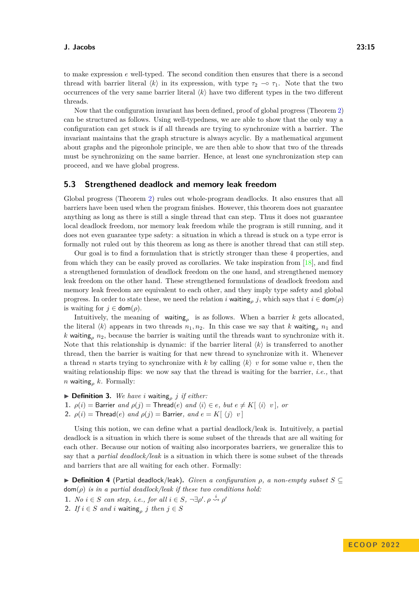to make expression *e* well-typed. The second condition then ensures that there is a second thread with barrier literal  $\langle k \rangle$  in its expression, with type  $\tau_2 \sim \tau_1$ . Note that the two occurrences of the very same barrier literal  $\langle k \rangle$  have two different types in the two different threads.

Now that the configuration invariant has been defined, proof of global progress (Theorem [2\)](#page-11-2) can be structured as follows. Using well-typedness, we are able to show that the only way a configuration can get stuck is if all threads are trying to synchronize with a barrier. The invariant maintains that the graph structure is always acyclic. By a mathematical argument about graphs and the pigeonhole principle, we are then able to show that two of the threads must be synchronizing on the same barrier. Hence, at least one synchronization step can proceed, and we have global progress.

### <span id="page-14-0"></span>**5.3 Strengthened deadlock and memory leak freedom**

Global progress (Theorem [2\)](#page-11-2) rules out whole-program deadlocks. It also ensures that all barriers have been used when the program finishes. However, this theorem does not guarantee anything as long as there is still a single thread that can step. Thus it does not guarantee local deadlock freedom, nor memory leak freedom while the program is still running, and it does not even guarantee type safety: a situation in which a thread is stuck on a type error is formally not ruled out by this theorem as long as there is another thread that can still step.

Our goal is to find a formulation that is strictly stronger than these 4 properties, and from which they can be easily proved as corollaries. We take inspiration from [\[18\]](#page-20-12), and find a strengthened formulation of deadlock freedom on the one hand, and strengthened memory leak freedom on the other hand. These strengthened formulations of deadlock freedom and memory leak freedom are equivalent to each other, and they imply type safety and global progress. In order to state these, we need the relation *i* waiting<sub>*p*</sub> *j*, which says that  $i \in \text{dom}(\rho)$ is waiting for  $j \in \text{dom}(\rho)$ .

Intuitively, the meaning of waiting<sub> $\rho$ </sub> is as follows. When a barrier *k* gets allocated, the literal  $\langle k \rangle$  appears in two threads  $n_1, n_2$ . In this case we say that *k* waiting<sub>*p*</sub>  $n_1$  and *k* waiting<sub> $\rho$ </sub> *n*<sub>2</sub>, because the barrier is waiting until the threads want to synchronize with it. Note that this relationship is dynamic: if the barrier literal  $\langle k \rangle$  is transferred to another thread, then the barrier is waiting for that new thread to synchronize with it. Whenever a thread *n* starts trying to synchronize with *k* by calling  $\langle k \rangle$  *v* for some value *v*, then the waiting relationship flips: we now say that the thread is waiting for the barrier, *i.e.,* that *n* waiting*<sup>ρ</sup> k*. Formally:

**Definition 3.** We have *i* waiting<sub>p</sub> *j if either:* **1.**  $\rho(i) =$  Barrier *and*  $\rho(j) =$  Thread(*e*) *and*  $\langle i \rangle \in e$ *, but*  $e \neq K[\langle i \rangle \langle v]$ *, or* **2.**  $\rho(i)$  = Thread(*e*) *and*  $\rho(j)$  = Barrier, *and*  $e = K[\langle j \rangle v]$ 

Using this notion, we can define what a partial deadlock/leak is. Intuitively, a partial deadlock is a situation in which there is some subset of the threads that are all waiting for each other. Because our notion of waiting also incorporates barriers, we generalize this to say that a *partial deadlock/leak* is a situation in which there is some subset of the threads and barriers that are all waiting for each other. Formally:

I **Definition 4** (Partial deadlock/leak)**.** *Given a configuration ρ, a non-empty subset S* ⊆  $dom(\rho)$  *is in a partial deadlock/leak if these two conditions hold:* 

- **1.** *No*  $i \in S$  *can step, i.e., for all*  $i \in S$ *,*  $\neg \exists \rho'. \rho \stackrel{i}{\leadsto} \rho'$
- 2. *If*  $i \in S$  *and*  $i$  waiting<sub> $\rho$ </sub>  $j$  *then*  $j \in S$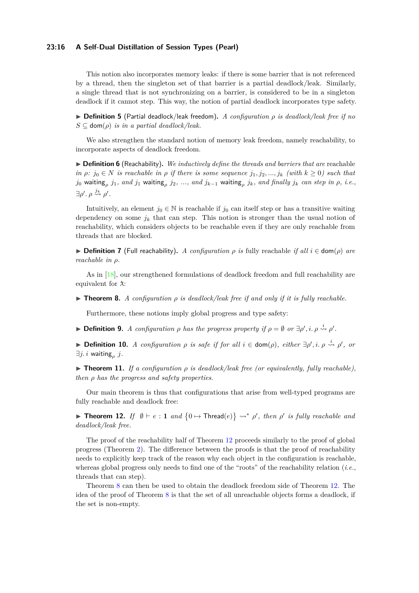### **23:16 A Self-Dual Distillation of Session Types (Pearl)**

This notion also incorporates memory leaks: if there is some barrier that is not referenced by a thread, then the singleton set of that barrier is a partial deadlock/leak. Similarly, a single thread that is not synchronizing on a barrier, is considered to be in a singleton deadlock if it cannot step. This way, the notion of partial deadlock incorporates type safety.

I **Definition 5** (Partial deadlock/leak freedom)**.** *A configuration ρ is deadlock/leak free if no*  $S \subseteq \text{dom}(\rho)$  *is in a partial deadlock/leak.* 

We also strengthen the standard notion of memory leak freedom, namely reachability, to incorporate aspects of deadlock freedom.

▶ **Definition 6** (Reachability). *We inductively define the threads and barriers that are* reachable  $in \rho: j_0 \in N$  *is reachable in*  $\rho$  *if there is some sequence*  $j_1, j_2, ..., j_k$  *(with*  $k \geq 0$ *) such that*  $j_0$  waiting<sub>p</sub>  $j_1$ , and  $j_1$  waiting<sub>p</sub>  $j_2, \ ...,\ and\ j_{k-1}$  waiting<sub>p</sub>  $j_k,$  and finally  $j_k$  can step in  $\rho, \ i.e.,$  $\exists \rho'. \, \rho \stackrel{j_k}{\leadsto} \rho'.$ 

Intuitively, an element  $j_0 \in \mathbb{N}$  is reachable if  $j_0$  can itself step or has a transitive waiting dependency on some  $j_k$  that can step. This notion is stronger than the usual notion of reachability, which considers objects to be reachable even if they are only reachable from threads that are blocked.

 $▶$  **Definition 7** (Full reachability). *A configuration ρ is* fully reachable *if all*  $i \in$  dom(*ρ*) *are reachable in ρ.*

As in [\[18\]](#page-20-12), our strengthened formulations of deadlock freedom and full reachability are equivalent for  $\lambda$ :

<span id="page-15-1"></span>**Find 1. 1 Figure 1** *A configuration*  $\rho$  *is deadlock/leak free if and only if it is fully reachable.* 

Furthermore, these notions imply global progress and type safety:

**Definition 9.** *A configuration*  $\rho$  *has the progress property if*  $\rho = \emptyset$  *or*  $\exists \rho', i \ldots \rho \stackrel{i}{\leadsto} \rho'$ .

**► Definition 10.** *A configuration*  $\rho$  *is safe if for all*  $i \in \text{dom}(\rho)$ , *either*  $\exists \rho', i \ldots \rho \stackrel{i}{\leadsto} \rho'$ , *or*  $\exists j. i$  waiting $\mathsf{g}_{\rho}$   $j.$ 

**Find 11.** *If a configuration*  $\rho$  *is deadlock/leak free (or equivalently, fully reachable), then ρ has the progress and safety properties.*

Our main theorem is thus that configurations that arise from well-typed programs are fully reachable and deadlock free:

<span id="page-15-0"></span>**Fineorem 12.** *If*  $\emptyset \vdash e : 1$  *and*  $\{0 \mapsto \text{Thread}(e)\} \rightsquigarrow^* \rho'$ , *then*  $\rho'$  *is fully reachable and deadlock/leak free.*

The proof of the reachability half of Theorem [12](#page-15-0) proceeds similarly to the proof of global progress (Theorem [2\)](#page-11-2). The difference between the proofs is that the proof of reachability needs to explicitly keep track of the reason why each object in the configuration is reachable, whereas global progress only needs to find one of the "roots" of the reachability relation (*i.e.,* threads that can step).

Theorem [8](#page-15-1) can then be used to obtain the deadlock freedom side of Theorem [12.](#page-15-0) The idea of the proof of Theorem [8](#page-15-1) is that the set of all unreachable objects forms a deadlock, if the set is non-empty.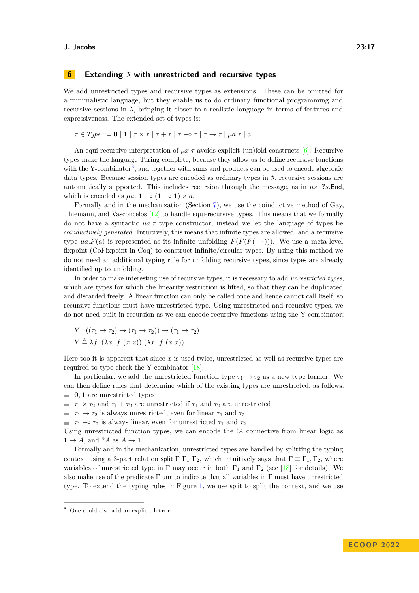# <span id="page-16-0"></span>**6 Extending**  $\lambda$  with unrestricted and recursive types

We add unrestricted types and recursive types as extensions. These can be omitted for a minimalistic language, but they enable us to do ordinary functional programming and recursive sessions in  $\lambda$ , bringing it closer to a realistic language in terms of features and expressiveness. The extended set of types is:

 $\tau \in Type ::= \mathbf{0} | \mathbf{1} | \tau \times \tau | \tau + \tau | \tau - \sigma \tau | \tau \to \tau | \mu a.\tau | a$ 

An equi-recursive interpretation of *µx.τ* avoids explicit (un)fold constructs [\[6\]](#page-20-13). Recursive types make the language Turing complete, because they allow us to define recursive functions with the Y-combinator<sup>[8](#page-16-1)</sup>, and together with sums and products can be used to encode algebraic data types. Because session types are encoded as ordinary types in  $\lambda$ , recursive sessions are automatically supported. This includes recursion through the message, as in *µs.* **?***s.*End, which is encoded as  $\mu a$ . **1**  $\sim$  (**1**  $\sim$  **1**)  $\times a$ .

Formally and in the mechanization (Section [7\)](#page-17-0), we use the coinductive method of Gay, Thiemann, and Vasconcelos  $[12]$  to handle equi-recursive types. This means that we formally do not have a syntactic *µa.τ* type constructor; instead we let the language of types be *coinductively generated*. Intuitively, this means that infinite types are allowed, and a recursive type  $\mu a.F(a)$  is represented as its infinite unfolding  $F(F(F(\cdots)))$ . We use a meta-level fixpoint (CoFixpoint in Coq) to construct infinite/circular types. By using this method we do not need an additional typing rule for unfolding recursive types, since types are already identified up to unfolding.

In order to make interesting use of recursive types, it is necessary to add *unrestricted types*, which are types for which the linearity restriction is lifted, so that they can be duplicated and discarded freely. A linear function can only be called once and hence cannot call itself, so recursive functions must have unrestricted type. Using unrestricted and recursive types, we do not need built-in recursion as we can encode recursive functions using the Y-combinator:

$$
Y: ((\tau_1 \to \tau_2) \to (\tau_1 \to \tau_2)) \to (\tau_1 \to \tau_2)
$$
  

$$
Y \triangleq \lambda f. (\lambda x. f (x x)) (\lambda x. f (x x))
$$

Here too it is apparent that since  $x$  is used twice, unrestricted as well as recursive types are required to type check the Y-combinator [\[18\]](#page-20-12).

In particular, we add the unrestricted function type  $\tau_1 \rightarrow \tau_2$  as a new type former. We can then define rules that determine which of the existing types are unrestricted, as follows: **0***,* **1** are unrestricted types

 $\tau_1 \times \tau_2$  and  $\tau_1 + \tau_2$  are unrestricted if  $\tau_1$  and  $\tau_2$  are unrestricted

 $\tau_1 \rightarrow \tau_2$  is always unrestricted, even for linear  $\tau_1$  and  $\tau_2$ 

 $\tau_1$  −  $\tau_2$  is always linear, even for unrestricted  $\tau_1$  and  $\tau_2$ 

Using unrestricted function types, we can encode the !*A* connective from linear logic as  $1 \rightarrow A$ , and ?*A* as  $A \rightarrow 1$ .

Formally and in the mechanization, unrestricted types are handled by splitting the typing context using a 3-part relation split  $\Gamma \Gamma_1 \Gamma_2$ , which intuitively says that  $\Gamma \equiv \Gamma_1, \Gamma_2$ , where variables of unrestricted type in Γ may occur in both  $\Gamma_1$  and  $\Gamma_2$  (see [\[18\]](#page-20-12) for details). We also make use of the predicate  $\Gamma$  unr to indicate that all variables in  $\Gamma$  must have unrestricted type. To extend the typing rules in Figure [1,](#page-5-0) we use split to split the context, and we use

<span id="page-16-1"></span><sup>8</sup> One could also add an explicit **letrec**.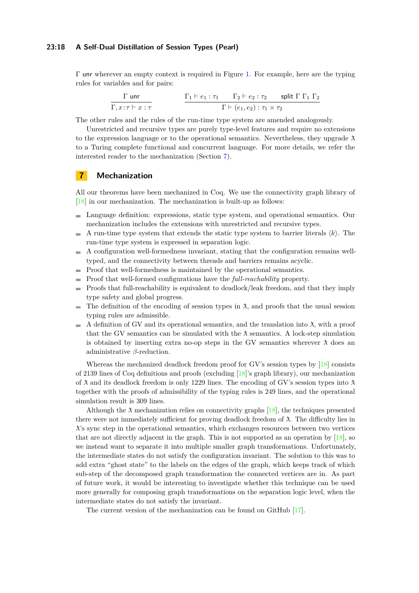### **23:18 A Self-Dual Distillation of Session Types (Pearl)**

Γ unr wherever an empty context is required in Figure [1.](#page-5-0) For example, here are the typing rules for variables and for pairs:

$$
\frac{\Gamma \text{ unr}}{\Gamma, x:\tau \vdash x:\tau} \qquad \qquad \frac{\Gamma_1 \vdash e_1:\tau_1 \qquad \Gamma_2 \vdash e_2:\tau_2 \qquad \text{split } \Gamma \Gamma_1 \Gamma_2}{\Gamma \vdash (e_1, e_2):\tau_1 \times \tau_2}
$$

The other rules and the rules of the run-time type system are amended analogously.

Unrestricted and recursive types are purely type-level features and require no extensions to the expression language or to the operational semantics. Nevertheless, they upgrade  $\lambda$ to a Turing complete functional and concurrent language. For more details, we refer the interested reader to the mechanization (Section [7\)](#page-17-0).

### <span id="page-17-0"></span>**7 Mechanization**

All our theorems have been mechanized in Coq. We use the connectivity graph library of [\[18\]](#page-20-12) in our mechanization. The mechanization is built-up as follows:

- Language definition: expressions, static type system, and operational semantics. Our mechanization includes the extensions with unrestricted and recursive types.
- $\sim$ A run-time type system that extends the static type system to barrier literals  $\langle k \rangle$ . The run-time type system is expressed in separation logic.
- A configuration well-formedness invariant, stating that the configuration remains well- $\mathcal{L}_{\mathcal{A}}$ typed, and the connectivity between threads and barriers remains acyclic.
- Proof that well-formedness is maintained by the operational semantics.
- Proof that well-formed configurations have the *full-reachability* property.  $\sim$
- Proofs that full-reachability is equivalent to deadlock/leak freedom, and that they imply  $\blacksquare$ type safety and global progress.
- The definition of the encoding of session types in  $\lambda$ , and proofs that the usual session  $\sim$ typing rules are admissible.
- A definition of GV and its operational semantics, and the translation into  $\lambda$ , with a proof  $\sim$ that the GV semantics can be simulated with the  $\lambda$  semantics. A lock-step simulation is obtained by inserting extra no-op steps in the GV semantics wherever  $\lambda$  does an administrative *β*-reduction.

Whereas the mechanized deadlock freedom proof for GV's session types by [\[18\]](#page-20-12) consists of 2139 lines of Coq definitions and proofs (excluding [\[18\]](#page-20-12)'s graph library), our mechanization of  $\lambda$  and its deadlock freedom is only 1229 lines. The encoding of GV's session types into  $\lambda$ together with the proofs of admissibility of the typing rules is 249 lines, and the operational simulation result is 309 lines.

Although the  $\lambda$  mechanization relies on connectivity graphs [\[18\]](#page-20-12), the techniques presented there were not immediately sufficient for proving deadlock freedom of  $\lambda$ . The difficulty lies in ¯*λ*'s sync step in the operational semantics, which exchanges resources between two vertices that are not directly adjacent in the graph. This is not supported as an operation by  $[18]$ , so we instead want to separate it into multiple smaller graph transformations. Unfortunately, the intermediate states do not satisfy the configuration invariant. The solution to this was to add extra "ghost state" to the labels on the edges of the graph, which keeps track of which sub-step of the decomposed graph transformation the connected vertices are in. As part of future work, it would be interesting to investigate whether this technique can be used more generally for composing graph transformations on the separation logic level, when the intermediate states do not satisfy the invariant.

The current version of the mechanization can be found on GitHub [\[17\]](#page-20-15).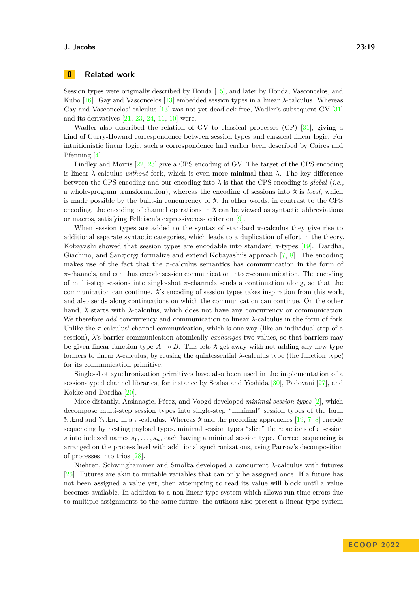# <span id="page-18-0"></span>**8 Related work**

Session types were originally described by Honda [\[15\]](#page-20-1), and later by Honda, Vasconcelos, and Kubo [\[16\]](#page-20-0). Gay and Vasconcelos [\[13\]](#page-20-2) embedded session types in a linear  $\lambda$ -calculus. Whereas Gay and Vasconcelos' calculus [\[13\]](#page-20-2) was not yet deadlock free, Wadler's subsequent GV [\[31\]](#page-21-0) and its derivatives [\[21,](#page-21-1) [23,](#page-21-2) [24,](#page-21-3) [11,](#page-20-3) [10\]](#page-20-4) were.

Wadler also described the relation of GV to classical processes  $(CP)$  [\[31\]](#page-21-0), giving a kind of Curry-Howard correspondence between session types and classical linear logic. For intuitionistic linear logic, such a correspondence had earlier been described by Caires and Pfenning [\[4\]](#page-20-16).

Lindley and Morris [\[22,](#page-21-6) [23\]](#page-21-2) give a CPS encoding of GV. The target of the CPS encoding is linear  $\lambda$ -calculus *without* fork, which is even more minimal than  $\lambda$ . The key difference between the CPS encoding and our encoding into  $\lambda$  is that the CPS encoding is *global* (*i.e.*, a whole-program transformation), whereas the encoding of sessions into  $\lambda$  is *local*, which is made possible by the built-in concurrency of  $\lambda$ . In other words, in contrast to the CPS encoding, the encoding of channel operations in  $\lambda$  can be viewed as syntactic abbreviations or macros, satisfying Felleisen's expressiveness criterion [\[9\]](#page-20-17).

When session types are added to the syntax of standard  $\pi$ -calculus they give rise to additional separate syntactic categories, which leads to a duplication of effort in the theory. Kobayashi showed that session types are encodable into standard *π*-types [\[19\]](#page-20-5). Dardha, Giachino, and Sangiorgi formalize and extend Kobayashi's approach [\[7,](#page-20-6) [8\]](#page-20-7). The encoding makes use of the fact that the *π*-calculus semantics has communication in the form of *π*-channels, and can thus encode session communication into *π*-communication. The encoding of multi-step sessions into single-shot  $\pi$ -channels sends a continuation along, so that the communication can continue.  $\lambda$ 's encoding of session types takes inspiration from this work, and also sends along continuations on which the communication can continue. On the other hand,  $\lambda$  starts with  $\lambda$ -calculus, which does not have any concurrency or communication. We therefore *add* concurrency and communication to linear *λ*-calculus in the form of fork. Unlike the  $\pi$ -calculus' channel communication, which is one-way (like an individual step of a session),  $\lambda$ 's barrier communication atomically *exchanges* two values, so that barriers may be given linear function type  $A \sim B$ . This lets  $\lambda$  get away with not adding any new type formers to linear  $\lambda$ -calculus, by reusing the quintessential  $\lambda$ -calculus type (the function type) for its communication primitive.

Single-shot synchronization primitives have also been used in the implementation of a session-typed channel libraries, for instance by Scalas and Yoshida [\[30\]](#page-21-4), Padovani [\[27\]](#page-21-5), and Kokke and Dardha [\[20\]](#page-20-9).

More distantly, Arslanagic, Pérez, and Voogd developed *minimal session types* [\[2\]](#page-20-8), which decompose multi-step session types into single-step "minimal" session types of the form **!***τ*.End and **?***τ*.End in a *π*-calculus. Whereas  $\lambda$  and the preceding approaches [\[19,](#page-20-5) [7,](#page-20-6) [8\]](#page-20-7) encode sequencing by nesting payload types, minimal session types "slice" the *n* actions of a session *s* into indexed names  $s_1, \ldots, s_n$ , each having a minimal session type. Correct sequencing is arranged on the process level with additional synchronizations, using Parrow's decomposition of processes into trios [\[28\]](#page-21-7).

Niehren, Schwinghammer and Smolka developed a concurrent *λ*-calculus with futures [\[26\]](#page-21-8). Futures are akin to mutable variables that can only be assigned once. If a future has not been assigned a value yet, then attempting to read its value will block until a value becomes available. In addition to a non-linear type system which allows run-time errors due to multiple assignments to the same future, the authors also present a linear type system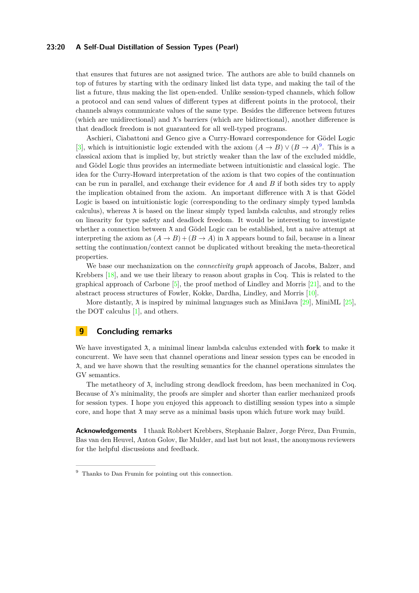### **23:20 A Self-Dual Distillation of Session Types (Pearl)**

that ensures that futures are not assigned twice. The authors are able to build channels on top of futures by starting with the ordinary linked list data type, and making the tail of the list a future, thus making the list open-ended. Unlike session-typed channels, which follow a protocol and can send values of different types at different points in the protocol, their channels always communicate values of the same type. Besides the difference between futures (which are unidirectional) and  $\lambda$ 's barriers (which are bidirectional), another difference is that deadlock freedom is not guaranteed for all well-typed programs.

Aschieri, Ciabattoni and Genco give a Curry-Howard correspondence for Gödel Logic [\[3\]](#page-20-18), which is intuitionistic logic extended with the axiom  $(A \to B) \vee (B \to A)^9$  $(A \to B) \vee (B \to A)^9$ . This is a classical axiom that is implied by, but strictly weaker than the law of the excluded middle, and Gödel Logic thus provides an intermediate between intuitionistic and classical logic. The idea for the Curry-Howard interpretation of the axiom is that two copies of the continuation can be run in parallel, and exchange their evidence for *A* and *B* if both sides try to apply the implication obtained from the axiom. An important difference with  $\lambda$  is that Gödel Logic is based on intuitionistic logic (corresponding to the ordinary simply typed lambda calculus), whereas  $\lambda$  is based on the linear simply typed lambda calculus, and strongly relies on linearity for type safety and deadlock freedom. It would be interesting to investigate whether a connection between  $\lambda$  and Gödel Logic can be established, but a naive attempt at interpreting the axiom as  $(A \rightarrow B) + (B \rightarrow A)$  in  $\lambda$  appears bound to fail, because in a linear setting the continuation/context cannot be duplicated without breaking the meta-theoretical properties.

We base our mechanization on the *connectivity graph* approach of Jacobs, Balzer, and Krebbers [\[18\]](#page-20-12), and we use their library to reason about graphs in Coq. This is related to the graphical approach of Carbone  $[5]$ , the proof method of Lindley and Morris  $[21]$ , and to the abstract process structures of Fowler, Kokke, Dardha, Lindley, and Morris [\[10\]](#page-20-4).

More distantly,  $\lambda$  is inspired by minimal languages such as MiniJava [\[29\]](#page-21-9), MiniML [\[25\]](#page-21-10), the DOT calculus [\[1\]](#page-20-19), and others.

# <span id="page-19-0"></span>**9 Concluding remarks**

We have investigated  $\lambda$ , a minimal linear lambda calculus extended with **fork** to make it concurrent. We have seen that channel operations and linear session types can be encoded in ¯*λ*, and we have shown that the resulting semantics for the channel operations simulates the GV semantics.

The metatheory of  $\lambda$ , including strong deadlock freedom, has been mechanized in Coq. Because of  $\lambda$ 's minimality, the proofs are simpler and shorter than earlier mechanized proofs for session types. I hope you enjoyed this approach to distilling session types into a simple core, and hope that  $\lambda$  may serve as a minimal basis upon which future work may build.

**Acknowledgements** I thank Robbert Krebbers, Stephanie Balzer, Jorge Pérez, Dan Frumin, Bas van den Heuvel, Anton Golov, Ike Mulder, and last but not least, the anonymous reviewers for the helpful discussions and feedback.

<span id="page-19-1"></span><sup>&</sup>lt;sup>9</sup> Thanks to Dan Frumin for pointing out this connection.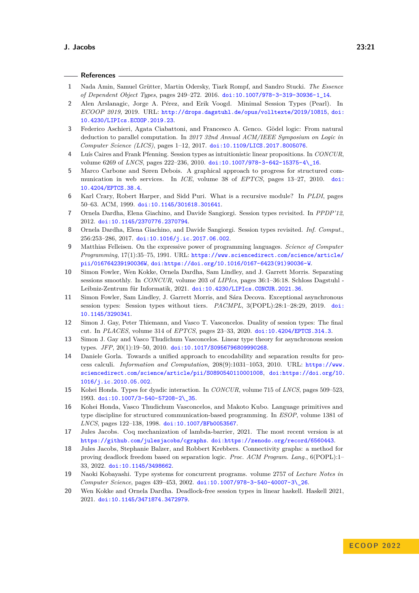<span id="page-20-19"></span><span id="page-20-18"></span><span id="page-20-17"></span><span id="page-20-16"></span><span id="page-20-15"></span><span id="page-20-14"></span><span id="page-20-13"></span><span id="page-20-12"></span><span id="page-20-11"></span><span id="page-20-10"></span><span id="page-20-9"></span><span id="page-20-8"></span><span id="page-20-7"></span><span id="page-20-6"></span><span id="page-20-5"></span><span id="page-20-4"></span><span id="page-20-3"></span><span id="page-20-2"></span><span id="page-20-1"></span><span id="page-20-0"></span>

|                | References —                                                                                                                                                                                                                                                                                    |
|----------------|-------------------------------------------------------------------------------------------------------------------------------------------------------------------------------------------------------------------------------------------------------------------------------------------------|
| 1              | Nada Amin, Samuel Grütter, Martin Odersky, Tiark Rompf, and Sandro Stucki. The Essence<br>of Dependent Object Types, pages 249-272. 2016. doi:10.1007/978-3-319-30936-1_14.                                                                                                                     |
| $\overline{2}$ | Alen Arslanagic, Jorge A. Pérez, and Erik Voogd. Minimal Session Types (Pearl). In<br>ECOOP 2019, 2019. URL: http://drops.dagstuhl.de/opus/volltexte/2019/10815, doi:<br>10.4230/LIPIcs.ECOOP.2019.23.                                                                                          |
| 3              | Federico Aschieri, Agata Ciabattoni, and Francesco A. Genco. Gödel logic: From natural<br>deduction to parallel computation. In 2017 32nd Annual ACM/IEEE Symposium on Logic in<br>Computer Science (LICS), pages 1-12, 2017. doi:10.1109/LICS.2017.8005076.                                    |
| 4              | Luís Caires and Frank Pfenning. Session types as intuitionistic linear propositions. In CONCUR,<br>volume 6269 of <i>LNCS</i> , pages 222-236, 2010. doi:10.1007/978-3-642-15375-4\16.                                                                                                          |
| 5              | Marco Carbone and Søren Debois. A graphical approach to progress for structured com-<br>munication in web services. In ICE, volume 38 of EPTCS, pages 13-27, 2010.<br>$\dot{\texttt{doi}}$<br>10.4204/EPTCS.38.4.                                                                               |
| 6              | Karl Crary, Robert Harper, and Sidd Puri. What is a recursive module? In PLDI, pages<br>50-63. ACM, 1999. doi:10.1145/301618.301641.                                                                                                                                                            |
| 7              | Ornela Dardha, Elena Giachino, and Davide Sangiorgi. Session types revisited. In PPDP'12,<br>2012. doi:10.1145/2370776.2370794.                                                                                                                                                                 |
| 8              | Ornela Dardha, Elena Giachino, and Davide Sangiorgi. Session types revisited. Inf. Comput.,<br>256:253-286, 2017. doi:10.1016/j.ic.2017.06.002.                                                                                                                                                 |
| 9              | Matthias Felleisen. On the expressive power of programming languages. Science of Computer<br>Programming, 17(1):35-75, 1991. URL: https://www.sciencedirect.com/science/article/<br>pii/016764239190036W, doi:https://doi.org/10.1016/0167-6423(91)90036-W.                                     |
| 10             | Simon Fowler, Wen Kokke, Ornela Dardha, Sam Lindley, and J. Garrett Morris. Separating<br>sessions smoothly. In CONCUR, volume 203 of LIPIcs, pages 36:1-36:18. Schloss Dagstuhl -<br>Leibniz-Zentrum für Informatik, 2021. doi:10.4230/LIPIcs.CONCUR.2021.36.                                  |
| 11             | Simon Fowler, Sam Lindley, J. Garrett Morris, and Sára Decova. Exceptional asynchronous<br>session types: Session types without tiers. PACMPL, 3(POPL):28:1-28:29, 2019. doi:<br>10.1145/3290341.                                                                                               |
| 12             | Simon J. Gay, Peter Thiemann, and Vasco T. Vasconcelos. Duality of session types: The final<br>cut. In PLACES, volume 314 of EPTCS, pages 23-33, 2020. doi:10.4204/EPTCS.314.3.                                                                                                                 |
| 13             | Simon J. Gay and Vasco Thudichum Vasconcelos. Linear type theory for asynchronous session<br>types. JFP, 20(1):19-50, 2010. doi:10.1017/S0956796809990268.                                                                                                                                      |
| 14             | Daniele Gorla. Towards a unified approach to encodability and separation results for pro-<br>cess calculi. Information and Computation, 208(9):1031-1053, 2010. URL: https://www.<br>sciencedirect.com/science/article/pii/S0890540110001008, doi:https://doi.org/10.<br>1016/j.ic.2010.05.002. |
| 15             | Kohei Honda. Types for dyadic interaction. In CONCUR, volume 715 of LNCS, pages 509-523,<br>1993. doi:10.1007/3-540-57208-2\_35.                                                                                                                                                                |
| 16             | Kohei Honda, Vasco Thudichum Vasconcelos, and Makoto Kubo. Language primitives and<br>type discipline for structured communication-based programming. In ESOP, volume 1381 of<br>LNCS, pages 122-138, 1998. doi:10.1007/BFb0053567.                                                             |
| 17             | Jules Jacobs. Coq mechanization of lambda-barrier, 2021. The most recent version is at<br>https://github.com/julesjacobs/cgraphs.doi:https://zenodo.org/record/6560443.                                                                                                                         |
| 18             | Jules Jacobs, Stephanie Balzer, and Robbert Krebbers. Connectivity graphs: a method for<br>proving deadlock freedom based on separation logic. Proc. ACM Program. Lang., 6(POPL):1-<br>33, 2022. doi:10.1145/3498662.                                                                           |
| 19             | Naoki Kobayashi. Type systems for concurrent programs. volume 2757 of Lecture Notes in<br>Computer Science, pages 439-453, 2002. doi:10.1007/978-3-540-40007-3\_26.                                                                                                                             |
| 20             | Wen Kokke and Ornela Dardha. Deadlock-free session types in linear haskell. Haskell 2021,<br>2021. doi:10.1145/3471874.3472979.                                                                                                                                                                 |